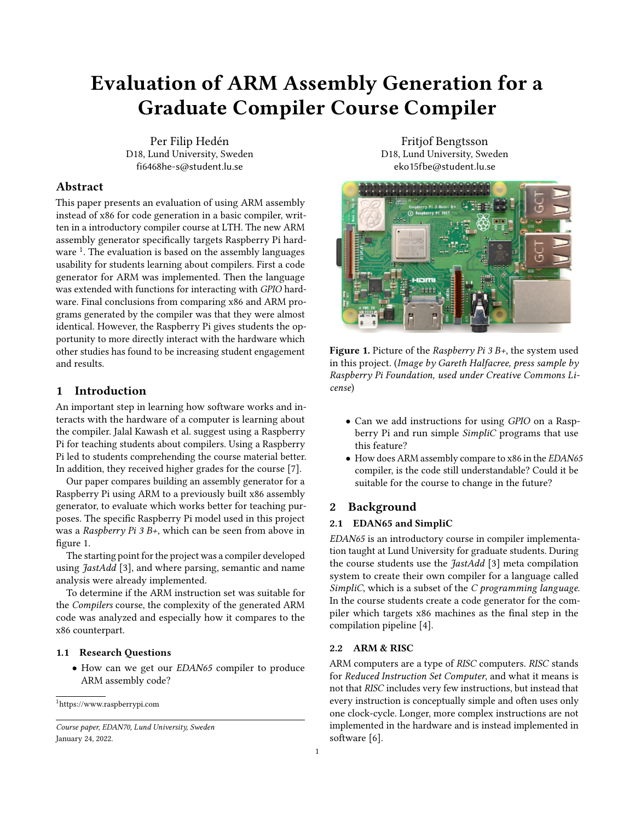# Evaluation of ARM Assembly Generation for a Graduate Compiler Course Compiler

Per Filip Hedén D18, Lund University, Sweden fi6468he-s@student.lu.se

## Abstract

This paper presents an evaluation of using ARM assembly instead of x86 for code generation in a basic compiler, written in a introductory compiler course at LTH. The new ARM assembly generator specifically targets Raspberry Pi hard-ware<sup>[1](#page-0-0)</sup>. The evaluation is based on the assembly languages usability for students learning about compilers. First a code generator for ARM was implemented. Then the language was extended with functions for interacting with GPIO hardware. Final conclusions from comparing x86 and ARM programs generated by the compiler was that they were almost identical. However, the Raspberry Pi gives students the opportunity to more directly interact with the hardware which other studies has found to be increasing student engagement and results.

## 1 Introduction

An important step in learning how software works and interacts with the hardware of a computer is learning about the compiler. Jalal Kawash et al. suggest using a Raspberry Pi for teaching students about compilers. Using a Raspberry Pi led to students comprehending the course material better. In addition, they received higher grades for the course [\[7\]](#page-4-0).

Our paper compares building an assembly generator for a Raspberry Pi using ARM to a previously built x86 assembly generator, to evaluate which works better for teaching purposes. The specific Raspberry Pi model used in this project was a Raspberry Pi 3 B+, which can be seen from above in figure [1.](#page-0-1)

The starting point for the project was a compiler developed using JastAdd [\[3\]](#page-4-1), and where parsing, semantic and name analysis were already implemented.

To determine if the ARM instruction set was suitable for the Compilers course, the complexity of the generated ARM code was analyzed and especially how it compares to the x86 counterpart.

## 1.1 Research Questions

• How can we get our EDAN65 compiler to produce ARM assembly code?

<span id="page-0-0"></span><sup>1</sup>https://www.raspberrypi.com

Fritjof Bengtsson D18, Lund University, Sweden eko15fbe@student.lu.se

<span id="page-0-1"></span>

**Figure 1.** Picture of the *Raspberry Pi 3 B+*, the system used in this project. (Image by Gareth Halfacree, press sample by Raspberry Pi Foundation, used under Creative Commons License)

- Can we add instructions for using GPIO on a Raspberry Pi and run simple SimpliC programs that use this feature?
- How does ARM assembly compare to x86 in the EDAN65 compiler, is the code still understandable? Could it be suitable for the course to change in the future?

# 2 Background

#### 2.1 EDAN65 and SimpliC

EDAN65 is an introductory course in compiler implementation taught at Lund University for graduate students. During the course students use the *JastAdd* [\[3\]](#page-4-1) meta compilation system to create their own compiler for a language called SimpliC, which is a subset of the C programming language. In the course students create a code generator for the compiler which targets x86 machines as the final step in the compilation pipeline [\[4\]](#page-4-2).

### 2.2 ARM & RISC

ARM computers are a type of RISC computers. RISC stands for Reduced Instruction Set Computer, and what it means is not that RISC includes very few instructions, but instead that every instruction is conceptually simple and often uses only one clock-cycle. Longer, more complex instructions are not implemented in the hardware and is instead implemented in software [\[6\]](#page-4-3).

Course paper, EDAN70, Lund University, Sweden January 24, 2022.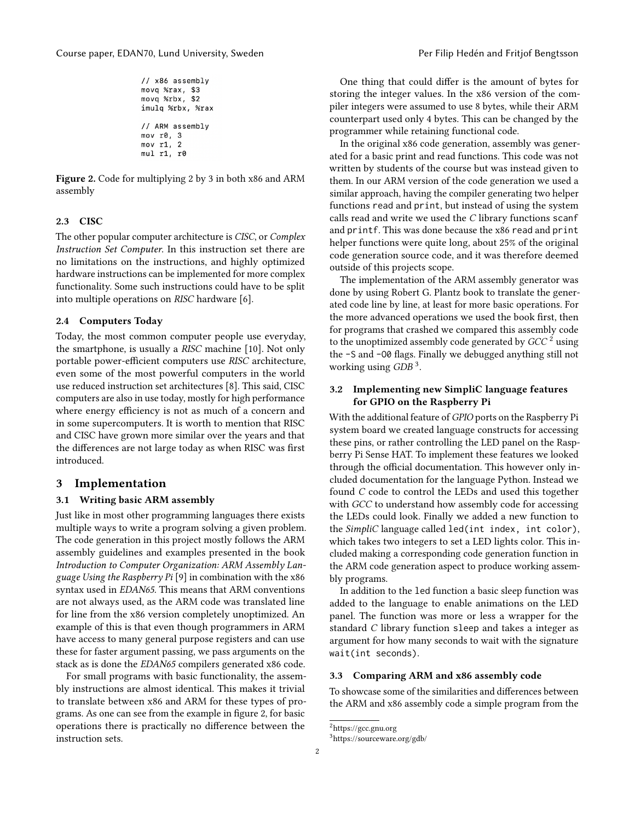```
11 x86 assembly
movq %rax, $3
movq %rbx, $2
imulq %rbx, %rax
// ARM assembly
mov r0, 3
mov r1, 2
mul r1, r0
```
Figure 2. Code for multiplying 2 by 3 in both x86 and ARM assembly

#### 2.3 CISC

The other popular computer architecture is CISC, or Complex Instruction Set Computer. In this instruction set there are no limitations on the instructions, and highly optimized hardware instructions can be implemented for more complex functionality. Some such instructions could have to be split into multiple operations on RISC hardware [\[6\]](#page-4-3).

#### 2.4 Computers Today

Today, the most common computer people use everyday, the smartphone, is usually a RISC machine [\[10\]](#page-4-4). Not only portable power-efficient computers use RISC architecture, even some of the most powerful computers in the world use reduced instruction set architectures [\[8\]](#page-4-5). This said, CISC computers are also in use today, mostly for high performance where energy efficiency is not as much of a concern and in some supercomputers. It is worth to mention that RISC and CISC have grown more similar over the years and that the differences are not large today as when RISC was first introduced.

#### 3 Implementation

#### 3.1 Writing basic ARM assembly

Just like in most other programming languages there exists multiple ways to write a program solving a given problem. The code generation in this project mostly follows the ARM assembly guidelines and examples presented in the book Introduction to Computer Organization: ARM Assembly Language Using the Raspberry Pi [\[9\]](#page-4-6) in combination with the x86 syntax used in EDAN65. This means that ARM conventions are not always used, as the ARM code was translated line for line from the x86 version completely unoptimized. An example of this is that even though programmers in ARM have access to many general purpose registers and can use these for faster argument passing, we pass arguments on the stack as is done the EDAN65 compilers generated x86 code.

For small programs with basic functionality, the assembly instructions are almost identical. This makes it trivial to translate between x86 and ARM for these types of programs. As one can see from the example in figure [2,](#page-1-0) for basic operations there is practically no difference between the instruction sets.

One thing that could differ is the amount of bytes for storing the integer values. In the x86 version of the compiler integers were assumed to use 8 bytes, while their ARM counterpart used only 4 bytes. This can be changed by the programmer while retaining functional code.

In the original x86 code generation, assembly was generated for a basic print and read functions. This code was not written by students of the course but was instead given to them. In our ARM version of the code generation we used a similar approach, having the compiler generating two helper functions read and print, but instead of using the system calls read and write we used the C library functions scanf and printf. This was done because the x86 read and print helper functions were quite long, about 25% of the original code generation source code, and it was therefore deemed outside of this projects scope.

The implementation of the ARM assembly generator was done by using Robert G. Plantz book to translate the generated code line by line, at least for more basic operations. For the more advanced operations we used the book first, then for programs that crashed we compared this assembly code to the unoptimized assembly code generated by  $GCC<sup>2</sup>$  $GCC<sup>2</sup>$  $GCC<sup>2</sup>$  using the -S and -O0 flags. Finally we debugged anything still not working using GDB<sup>[3](#page-1-2)</sup>.

## 3.2 Implementing new SimpliC language features for GPIO on the Raspberry Pi

With the additional feature of GPIO ports on the Raspberry Pi system board we created language constructs for accessing these pins, or rather controlling the LED panel on the Raspberry Pi Sense HAT. To implement these features we looked through the official documentation. This however only included documentation for the language Python. Instead we found C code to control the LEDs and used this together with GCC to understand how assembly code for accessing the LEDs could look. Finally we added a new function to the SimpliC language called led(int index, int color), which takes two integers to set a LED lights color. This included making a corresponding code generation function in the ARM code generation aspect to produce working assembly programs.

In addition to the led function a basic sleep function was added to the language to enable animations on the LED panel. The function was more or less a wrapper for the standard C library function sleep and takes a integer as argument for how many seconds to wait with the signature wait(int seconds).

#### 3.3 Comparing ARM and x86 assembly code

To showcase some of the similarities and differences between the ARM and x86 assembly code a simple program from the

<span id="page-1-1"></span><sup>2</sup>https://gcc.gnu.org

<span id="page-1-2"></span><sup>3</sup>https://sourceware.org/gdb/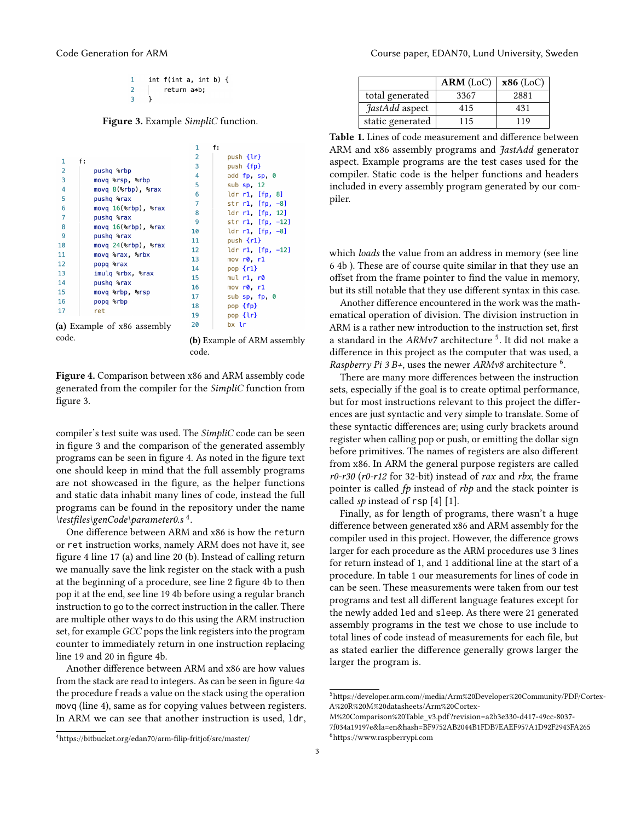|  | int $f(int a, int b)$ { |  |  |
|--|-------------------------|--|--|
|  | return a*b;             |  |  |
|  |                         |  |  |

<span id="page-2-0"></span>Figure 3. Example SimpliC function.

<span id="page-2-1"></span>

|                |                             | 1              | f:                     |
|----------------|-----------------------------|----------------|------------------------|
| 1              |                             | $\overline{2}$ | push {lr}              |
|                | f:                          | 3              | push {fp}              |
| $\overline{2}$ | pushq %rbp                  | 4              | add fp. sp. 0          |
| $\overline{3}$ | movq %rsp, %rbp             | 5              | sub $sp. 12$           |
| 4              | movq 8(%rbp), %rax          | 6              |                        |
| 5              | pushq %rax                  |                | ldr $r1$ [fp, 8]       |
| 6              | $movq 16$ (%rbp), %rax      | $\overline{7}$ | str $r1$ [fp, $-8$ ]   |
| 7              | pushq %rax                  | 8              | ldr r1, [fp, 12]       |
| 8              | $movq 16$ (%rbp), %rax      | 9              | str r1, [fp, -12]      |
| 9              |                             | 10             | ldr $r1$ , $[fp, -8]$  |
|                | pushq %rax                  | 11             | push $\{r1\}$          |
| 10             | movq 24(%rbp), %rax         | 12             | ldr $r1$ , $[fp, -12]$ |
| 11             | movq %rax, %rbx             | 13             | mov r0, r1             |
| 12             | popq %rax                   | 14             | pop $\{r1\}$           |
| 13             | imulq %rbx, %rax            | 15             | mul r1, r0             |
| 14             | pushq %rax                  |                |                        |
| 15             | movq %rbp, %rsp             | 16             | mov r0, r1             |
| 16             | popq %rbp                   | 17             | sub sp. fp. 0          |
| 17             |                             | 18             | pop {fp}               |
|                | ret                         | 19             | pop {lr}               |
|                | (a) Example of x86 assembly | 20             | bx lr                  |

code. (b) Example of ARM assembly

Figure 4. Comparison between x86 and ARM assembly code generated from the compiler for the SimpliC function from figure [3.](#page-2-0)

compiler's test suite was used. The SimpliC code can be seen in figure [3](#page-2-0) and the comparison of the generated assembly programs can be seen in figure [4.](#page-2-1) As noted in the figure text one should keep in mind that the full assembly programs are not showcased in the figure, as the helper functions and static data inhabit many lines of code, instead the full programs can be found in the repository under the name \testfiles\genCode\parameter0.s<sup>[4](#page-2-2)</sup>.

One difference between ARM and x86 is how the return or ret instruction works, namely ARM does not have it, see figure [4](#page-2-1) line 17 (a) and line 20 (b). Instead of calling return we manually save the link register on the stack with a push at the beginning of a procedure, see line 2 figure [4b](#page-2-1) to then pop it at the end, see line 19 [4b](#page-2-1) before using a regular branch instruction to go to the correct instruction in the caller. There are multiple other ways to do this using the ARM instruction set, for example GCC pops the link registers into the program counter to immediately return in one instruction replacing line 19 and 20 in figure [4b.](#page-2-1)

Another difference between ARM and x86 are how values from the stack are read to integers. As can be seen in figure [4](#page-2-1)*a* the procedure f reads a value on the stack using the operation movq (line 4), same as for copying values between registers. In ARM we can see that another instruction is used, ldr,

<span id="page-2-5"></span>

|                  | ARM (LoC) | $x86$ (LoC) |
|------------------|-----------|-------------|
| total generated  | 3367      | 2881        |
| JastAdd aspect   | 415       | 431         |
| static generated | 115       | 119         |

Table 1. Lines of code measurement and difference between ARM and x86 assembly programs and *JastAdd* generator aspect. Example programs are the test cases used for the compiler. Static code is the helper functions and headers included in every assembly program generated by our compiler.

which *loads* the value from an address in memory (see line 6 [4b](#page-2-1) ). These are of course quite similar in that they use an offset from the frame pointer to find the value in memory, but its still notable that they use different syntax in this case.

Another difference encountered in the work was the mathematical operation of division. The division instruction in ARM is a rather new introduction to the instruction set, first a standard in the  $ARMv7$  architecture  $^5$  $^5$ . It did not make a difference in this project as the computer that was used, a Raspberry Pi 3 B+, uses the newer ARMv8 architecture  $6$ .

There are many more differences between the instruction sets, especially if the goal is to create optimal performance, but for most instructions relevant to this project the differences are just syntactic and very simple to translate. Some of these syntactic differences are; using curly brackets around register when calling pop or push, or emitting the dollar sign before primitives. The names of registers are also different from x86. In ARM the general purpose registers are called  $r0-r30$  ( $r0-r12$  for 32-bit) instead of rax and rbx, the frame pointer is called fp instead of rbp and the stack pointer is called  $sp$  instead of  $rsp[4][1]$  $rsp[4][1]$  $rsp[4][1]$ .

Finally, as for length of programs, there wasn't a huge difference between generated x86 and ARM assembly for the compiler used in this project. However, the difference grows larger for each procedure as the ARM procedures use 3 lines for return instead of 1, and 1 additional line at the start of a procedure. In table [1](#page-2-5) our measurements for lines of code in can be seen. These measurements were taken from our test programs and test all different language features except for the newly added led and sleep. As there were 21 generated assembly programs in the test we chose to use include to total lines of code instead of measurements for each file, but as stated earlier the difference generally grows larger the larger the program is.

code.

<span id="page-2-3"></span><sup>5</sup>https://developer.arm.com//media/Arm%20Developer%20Community/PDF/Cortex-A%20R%20M%20datasheets/Arm%20Cortex-

<span id="page-2-4"></span>M%20Comparison%20Table\_v3.pdf?revision=a2b3e330-d417-49cc-8037- 7f034a19197e&la=en&hash=BF9752AB2044B1FDB7EAEF957A1D92F2943FA265 <sup>6</sup>https://www.raspberrypi.com

<span id="page-2-2"></span><sup>4</sup>https://bitbucket.org/edan70/arm-filip-fritjof/src/master/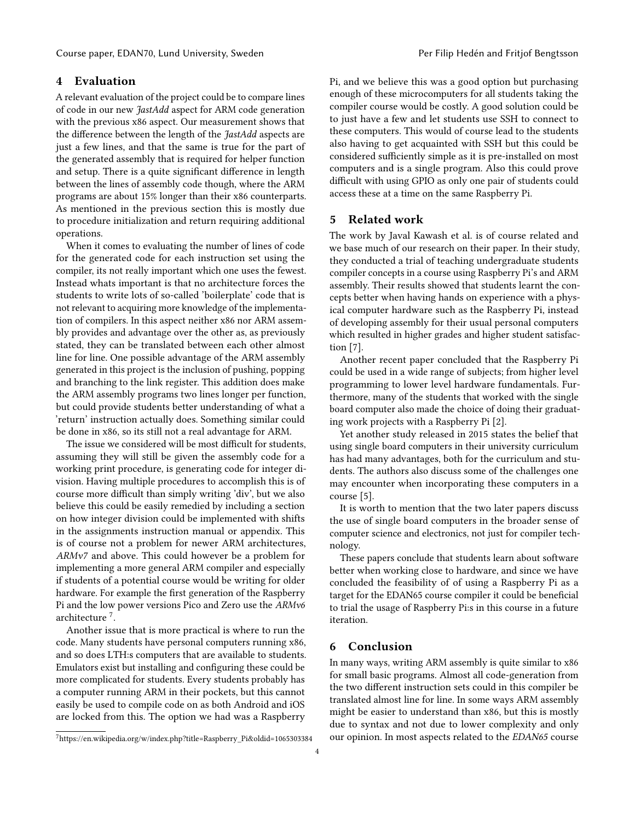# 4 Evaluation

A relevant evaluation of the project could be to compare lines of code in our new JastAdd aspect for ARM code generation with the previous x86 aspect. Our measurement shows that the difference between the length of the JastAdd aspects are just a few lines, and that the same is true for the part of the generated assembly that is required for helper function and setup. There is a quite significant difference in length between the lines of assembly code though, where the ARM programs are about 15% longer than their x86 counterparts. As mentioned in the previous section this is mostly due to procedure initialization and return requiring additional operations.

When it comes to evaluating the number of lines of code for the generated code for each instruction set using the compiler, its not really important which one uses the fewest. Instead whats important is that no architecture forces the students to write lots of so-called 'boilerplate' code that is not relevant to acquiring more knowledge of the implementation of compilers. In this aspect neither x86 nor ARM assembly provides and advantage over the other as, as previously stated, they can be translated between each other almost line for line. One possible advantage of the ARM assembly generated in this project is the inclusion of pushing, popping and branching to the link register. This addition does make the ARM assembly programs two lines longer per function, but could provide students better understanding of what a 'return' instruction actually does. Something similar could be done in x86, so its still not a real advantage for ARM.

The issue we considered will be most difficult for students, assuming they will still be given the assembly code for a working print procedure, is generating code for integer division. Having multiple procedures to accomplish this is of course more difficult than simply writing 'div', but we also believe this could be easily remedied by including a section on how integer division could be implemented with shifts in the assignments instruction manual or appendix. This is of course not a problem for newer ARM architectures, ARMv7 and above. This could however be a problem for implementing a more general ARM compiler and especially if students of a potential course would be writing for older hardware. For example the first generation of the Raspberry Pi and the low power versions Pico and Zero use the ARMv6 architecture [7](#page-3-0) .

Another issue that is more practical is where to run the code. Many students have personal computers running x86, and so does LTH:s computers that are available to students. Emulators exist but installing and configuring these could be more complicated for students. Every students probably has a computer running ARM in their pockets, but this cannot easily be used to compile code on as both Android and iOS are locked from this. The option we had was a Raspberry

Pi, and we believe this was a good option but purchasing enough of these microcomputers for all students taking the compiler course would be costly. A good solution could be to just have a few and let students use SSH to connect to these computers. This would of course lead to the students also having to get acquainted with SSH but this could be considered sufficiently simple as it is pre-installed on most computers and is a single program. Also this could prove difficult with using GPIO as only one pair of students could access these at a time on the same Raspberry Pi.

## 5 Related work

The work by Javal Kawash et al. is of course related and we base much of our research on their paper. In their study, they conducted a trial of teaching undergraduate students compiler concepts in a course using Raspberry Pi's and ARM assembly. Their results showed that students learnt the concepts better when having hands on experience with a physical computer hardware such as the Raspberry Pi, instead of developing assembly for their usual personal computers which resulted in higher grades and higher student satisfaction [\[7\]](#page-4-0).

Another recent paper concluded that the Raspberry Pi could be used in a wide range of subjects; from higher level programming to lower level hardware fundamentals. Furthermore, many of the students that worked with the single board computer also made the choice of doing their graduating work projects with a Raspberry Pi [\[2\]](#page-4-8).

Yet another study released in 2015 states the belief that using single board computers in their university curriculum has had many advantages, both for the curriculum and students. The authors also discuss some of the challenges one may encounter when incorporating these computers in a course [\[5\]](#page-4-9).

It is worth to mention that the two later papers discuss the use of single board computers in the broader sense of computer science and electronics, not just for compiler technology.

These papers conclude that students learn about software better when working close to hardware, and since we have concluded the feasibility of of using a Raspberry Pi as a target for the EDAN65 course compiler it could be beneficial to trial the usage of Raspberry Pi:s in this course in a future iteration.

## 6 Conclusion

In many ways, writing ARM assembly is quite similar to x86 for small basic programs. Almost all code-generation from the two different instruction sets could in this compiler be translated almost line for line. In some ways ARM assembly might be easier to understand than x86, but this is mostly due to syntax and not due to lower complexity and only our opinion. In most aspects related to the EDAN65 course

<span id="page-3-0"></span><sup>7</sup>https://en.wikipedia.org/w/index.php?title=Raspberry\_Pi&oldid=1065303384